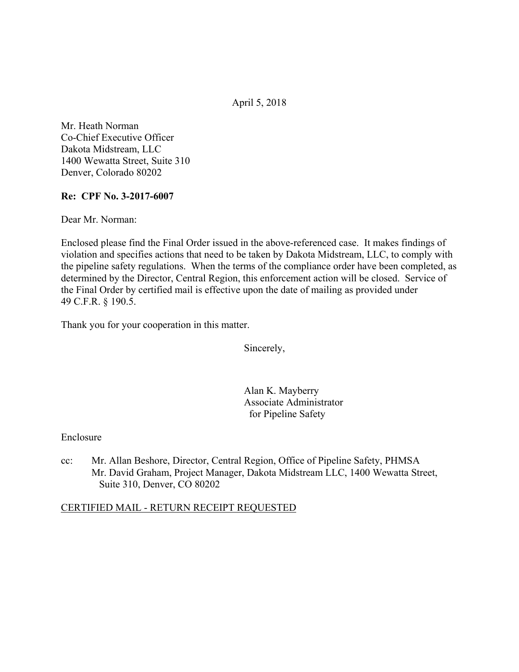April 5, 2018

Mr. Heath Norman Co-Chief Executive Officer Dakota Midstream, LLC 1400 Wewatta Street, Suite 310 Denver, Colorado 80202

### **Re: CPF No. 3-2017-6007**

Dear Mr. Norman:

Enclosed please find the Final Order issued in the above-referenced case. It makes findings of violation and specifies actions that need to be taken by Dakota Midstream, LLC, to comply with the pipeline safety regulations. When the terms of the compliance order have been completed, as determined by the Director, Central Region, this enforcement action will be closed. Service of the Final Order by certified mail is effective upon the date of mailing as provided under 49 C.F.R. § 190.5.

Thank you for your cooperation in this matter.

Sincerely,

Alan K. Mayberry Associate Administrator for Pipeline Safety

Enclosure

 Mr. David Graham, Project Manager, Dakota Midstream LLC, 1400 Wewatta Street, cc: Mr. Allan Beshore, Director, Central Region, Office of Pipeline Safety, PHMSA Suite 310, Denver, CO 80202

# CERTIFIED MAIL - RETURN RECEIPT REQUESTED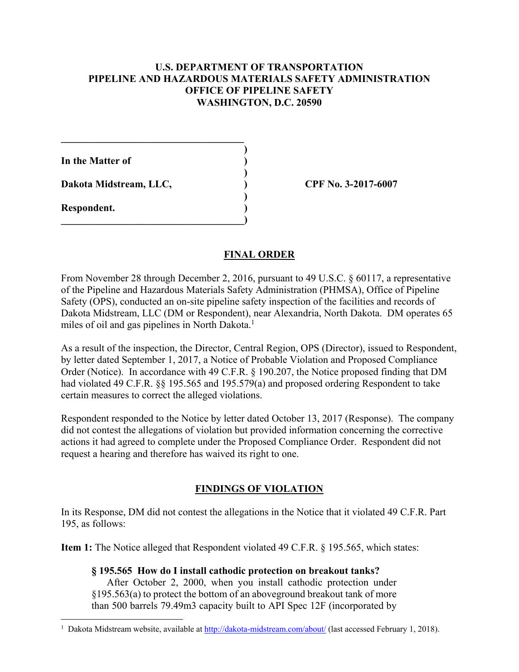### **U.S. DEPARTMENT OF TRANSPORTATION PIPELINE AND HAZARDOUS MATERIALS SAFETY ADMINISTRATION OFFICE OF PIPELINE SAFETY WASHINGTON, D.C. 20590**

**)**

 **)**

 **)**

**In the Matter of )**

**Dakota Midstream, LLC, ) CPF No. 3-2017-6007**

 $\mathcal{L}=\{1,2,3,4,5\}$ 

**\_\_\_\_\_\_\_\_\_\_\_\_\_\_\_\_\_\_\_\_\_\_\_\_\_\_\_\_\_\_\_\_\_\_\_\_)** 

**Respondent. )** 

 $\overline{a}$ 

# **FINAL ORDER**

miles of oil and gas pipelines in North Dakota.<sup>1</sup> From November 28 through December 2, 2016, pursuant to 49 U.S.C. § 60117, a representative of the Pipeline and Hazardous Materials Safety Administration (PHMSA), Office of Pipeline Safety (OPS), conducted an on-site pipeline safety inspection of the facilities and records of Dakota Midstream, LLC (DM or Respondent), near Alexandria, North Dakota. DM operates 65

As a result of the inspection, the Director, Central Region, OPS (Director), issued to Respondent, by letter dated September 1, 2017, a Notice of Probable Violation and Proposed Compliance Order (Notice). In accordance with 49 C.F.R. § 190.207, the Notice proposed finding that DM had violated 49 C.F.R. §§ 195.565 and 195.579(a) and proposed ordering Respondent to take certain measures to correct the alleged violations.

Respondent responded to the Notice by letter dated October 13, 2017 (Response). The company did not contest the allegations of violation but provided information concerning the corrective actions it had agreed to complete under the Proposed Compliance Order. Respondent did not request a hearing and therefore has waived its right to one.

# **FINDINGS OF VIOLATION**

In its Response, DM did not contest the allegations in the Notice that it violated 49 C.F.R. Part 195, as follows:

**Item 1:** The Notice alleged that Respondent violated 49 C.F.R. § 195.565, which states:

**§ 195.565 How do I install cathodic protection on breakout tanks?** After October 2, 2000, when you install cathodic protection under §195.563(a) to protect the bottom of an aboveground breakout tank of more than 500 barrels 79.49m3 capacity built to API Spec 12F (incorporated by

<sup>&</sup>lt;sup>1</sup> Dakota Midstream website, available at http://dakota-midstream.com/about/ (last accessed February 1, 2018).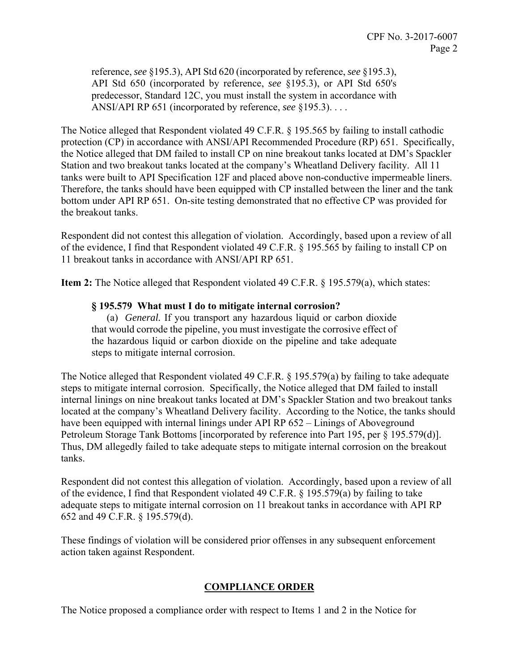reference, *see* §195.3), API Std 620 (incorporated by reference, *see* §195.3), API Std 650 (incorporated by reference, *see* §195.3), or API Std 650's predecessor, Standard 12C, you must install the system in accordance with ANSI/API RP 651 (incorporated by reference, *see* §195.3). . . .

The Notice alleged that Respondent violated 49 C.F.R. § 195.565 by failing to install cathodic protection (CP) in accordance with ANSI/API Recommended Procedure (RP) 651. Specifically, the Notice alleged that DM failed to install CP on nine breakout tanks located at DM's Spackler Station and two breakout tanks located at the company's Wheatland Delivery facility. All 11 tanks were built to API Specification 12F and placed above non-conductive impermeable liners. Therefore, the tanks should have been equipped with CP installed between the liner and the tank bottom under API RP 651. On-site testing demonstrated that no effective CP was provided for the breakout tanks.

Respondent did not contest this allegation of violation. Accordingly, based upon a review of all of the evidence, I find that Respondent violated 49 C.F.R. § 195.565 by failing to install CP on 11 breakout tanks in accordance with ANSI/API RP 651.

**Item 2:** The Notice alleged that Respondent violated 49 C.F.R. § 195.579(a), which states:

#### **§ 195.579 What must I do to mitigate internal corrosion?**

(a) *General.* If you transport any hazardous liquid or carbon dioxide that would corrode the pipeline, you must investigate the corrosive effect of the hazardous liquid or carbon dioxide on the pipeline and take adequate steps to mitigate internal corrosion.

The Notice alleged that Respondent violated 49 C.F.R. § 195.579(a) by failing to take adequate steps to mitigate internal corrosion. Specifically, the Notice alleged that DM failed to install internal linings on nine breakout tanks located at DM's Spackler Station and two breakout tanks located at the company's Wheatland Delivery facility. According to the Notice, the tanks should have been equipped with internal linings under API RP 652 – Linings of Aboveground Petroleum Storage Tank Bottoms [incorporated by reference into Part 195, per § 195.579(d)]. Thus, DM allegedly failed to take adequate steps to mitigate internal corrosion on the breakout tanks.

Respondent did not contest this allegation of violation. Accordingly, based upon a review of all of the evidence, I find that Respondent violated 49 C.F.R. § 195.579(a) by failing to take adequate steps to mitigate internal corrosion on 11 breakout tanks in accordance with API RP 652 and 49 C.F.R. § 195.579(d).

These findings of violation will be considered prior offenses in any subsequent enforcement action taken against Respondent.

#### **COMPLIANCE ORDER**

The Notice proposed a compliance order with respect to Items 1 and 2 in the Notice for